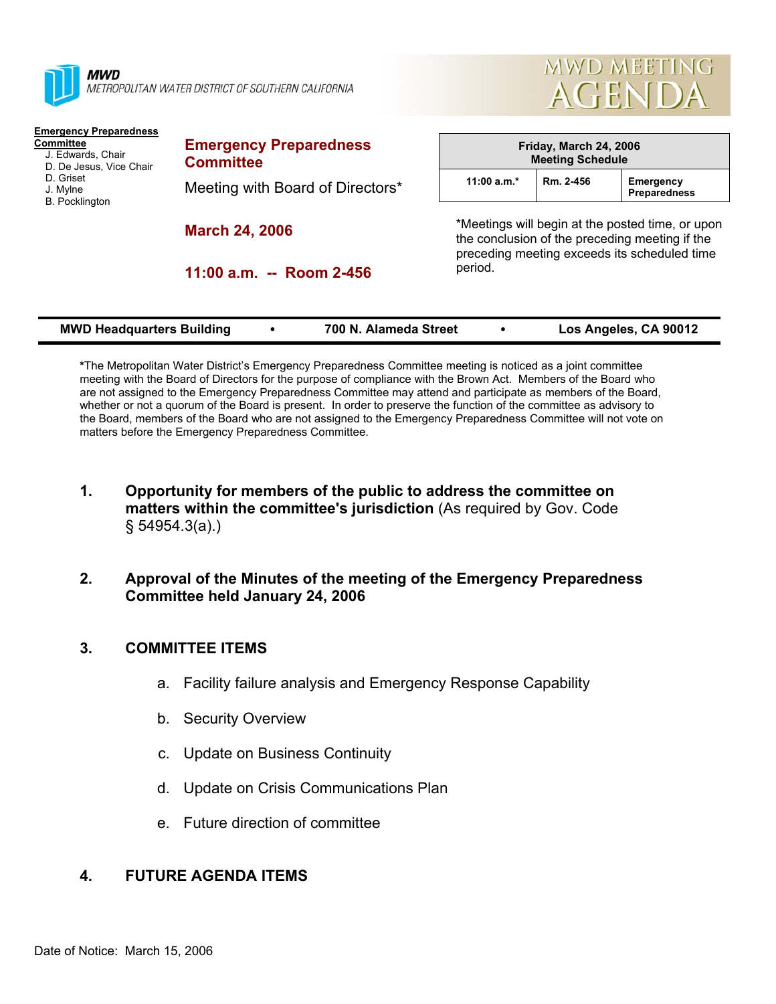

**MWD** METROPOLITAN WATER DISTRICT OF SOUTHERN CALIFORNIA



### **Emergency Preparedness Committee**

- J. Edwards, Chair
- D. De Jesus, Vice Chair
- D. Griset
- J. Mylne
- B. Pocklington

**Emergency Preparedness Committee**  Meeting with Board of Directors\*

**March 24, 2006** 

**11:00 a.m. -- Room 2-456** 

| Friday, March 24, 2006<br><b>Meeting Schedule</b> |           |                                  |  |  |
|---------------------------------------------------|-----------|----------------------------------|--|--|
| 11:00 a.m. $*$                                    | Rm. 2-456 | <b>Emergency</b><br>Preparedness |  |  |

\*Meetings will begin at the posted time, or upon the conclusion of the preceding meeting if the preceding meeting exceeds its scheduled time period.

|  | <b>MWD Headquarters Building</b> | 700 N. Alameda Street |  | Los Angeles, CA 90012 |
|--|----------------------------------|-----------------------|--|-----------------------|
|--|----------------------------------|-----------------------|--|-----------------------|

**\***The Metropolitan Water District's Emergency Preparedness Committee meeting is noticed as a joint committee meeting with the Board of Directors for the purpose of compliance with the Brown Act. Members of the Board who are not assigned to the Emergency Preparedness Committee may attend and participate as members of the Board, whether or not a quorum of the Board is present. In order to preserve the function of the committee as advisory to the Board, members of the Board who are not assigned to the Emergency Preparedness Committee will not vote on matters before the Emergency Preparedness Committee.

**1. Opportunity for members of the public to address the committee on matters within the committee's jurisdiction** (As required by Gov. Code § 54954.3(a).)

# **2. Approval of the Minutes of the meeting of the Emergency Preparedness Committee held January 24, 2006**

# **3. COMMITTEE ITEMS**

- a. Facility failure analysis and Emergency Response Capability
- b. Security Overview
- c. Update on Business Continuity
- d. Update on Crisis Communications Plan
- e. Future direction of committee

# **4. FUTURE AGENDA ITEMS**